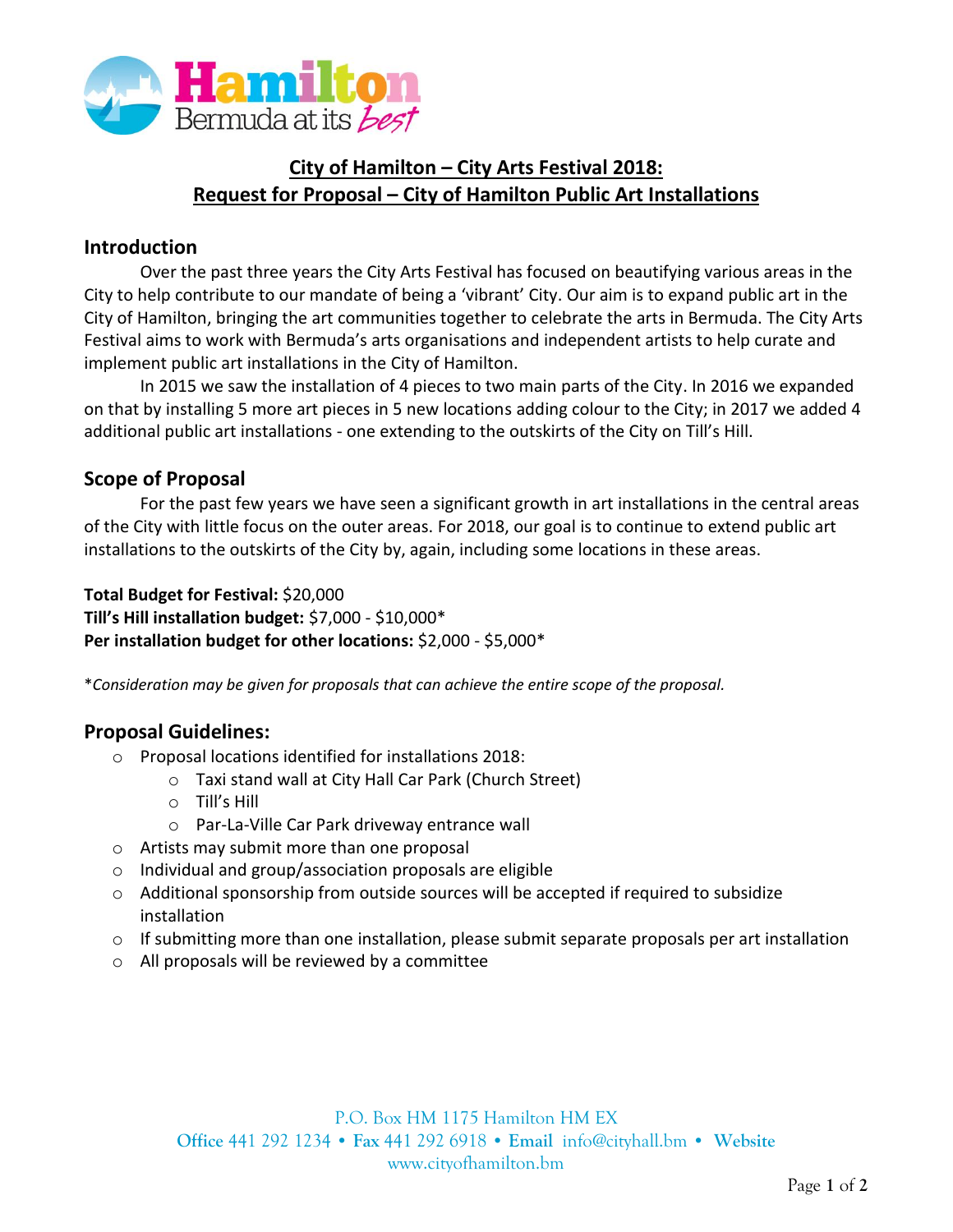

# **City of Hamilton – City Arts Festival 2018: Request for Proposal – City of Hamilton Public Art Installations**

### **Introduction**

Over the past three years the City Arts Festival has focused on beautifying various areas in the City to help contribute to our mandate of being a 'vibrant' City. Our aim is to expand public art in the City of Hamilton, bringing the art communities together to celebrate the arts in Bermuda. The City Arts Festival aims to work with Bermuda's arts organisations and independent artists to help curate and implement public art installations in the City of Hamilton.

In 2015 we saw the installation of 4 pieces to two main parts of the City. In 2016 we expanded on that by installing 5 more art pieces in 5 new locations adding colour to the City; in 2017 we added 4 additional public art installations - one extending to the outskirts of the City on Till's Hill.

#### **Scope of Proposal**

For the past few years we have seen a significant growth in art installations in the central areas of the City with little focus on the outer areas. For 2018, our goal is to continue to extend public art installations to the outskirts of the City by, again, including some locations in these areas.

**Total Budget for Festival:** \$20,000 **Till's Hill installation budget:** \$7,000 - \$10,000\* **Per installation budget for other locations:** \$2,000 - \$5,000\*

\**Consideration may be given for proposals that can achieve the entire scope of the proposal.*

### **Proposal Guidelines:**

- o Proposal locations identified for installations 2018:
	- o Taxi stand wall at City Hall Car Park (Church Street)
	- o Till's Hill
	- o Par-La-Ville Car Park driveway entrance wall
- o Artists may submit more than one proposal
- o Individual and group/association proposals are eligible
- $\circ$  Additional sponsorship from outside sources will be accepted if required to subsidize installation
- $\circ$  If submitting more than one installation, please submit separate proposals per art installation
- o All proposals will be reviewed by a committee